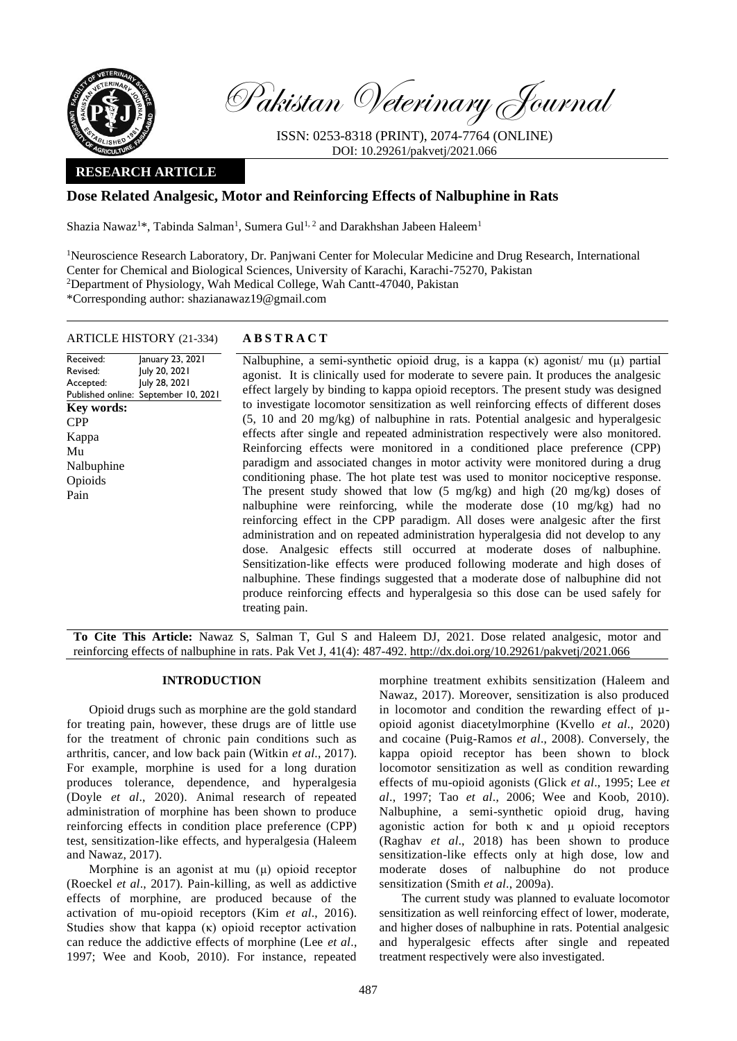

Pakistan Veterinary Journal

ISSN: 0253-8318 (PRINT), 2074-7764 (ONLINE) DOI: 10.29261/pakvetj/2021.066

# **RESEARCH ARTICLE**

# **Dose Related Analgesic, Motor and Reinforcing Effects of Nalbuphine in Rats**

Shazia Nawaz<sup>1\*</sup>, Tabinda Salman<sup>1</sup>, Sumera Gul<sup>1, 2</sup> and Darakhshan Jabeen Haleem<sup>1</sup>

<sup>1</sup>Neuroscience Research Laboratory, Dr. Panjwani Center for Molecular Medicine and Drug Research, International Center for Chemical and Biological Sciences, University of Karachi, Karachi-75270, Pakistan <sup>2</sup>Department of Physiology, Wah Medical College, Wah Cantt-47040, Pakistan \*Corresponding author: shazianawaz19@gmail.com

## ARTICLE HISTORY (21-334) **A B S T R A C T**

Received: Revised: Accepted: Published online: September 10, 2021 January 23, 2021 July 20, 2021 July 28, 2021 Nalbuphine, a semi-synthetic opioid drug, is a kappa (κ) agonist/ mu (μ) partial agonist. It is clinically used for moderate to severe pain. It produces the analgesic effect largely by binding to kappa opioid receptors. The present study was designed to investigate locomotor sensitization as well reinforcing effects of different doses (5, 10 and 20 mg/kg) of nalbuphine in rats. Potential analgesic and hyperalgesic effects after single and repeated administration respectively were also monitored. Reinforcing effects were monitored in a conditioned place preference (CPP) paradigm and associated changes in motor activity were monitored during a drug conditioning phase. The hot plate test was used to monitor nociceptive response. The present study showed that low (5 mg/kg) and high (20 mg/kg) doses of nalbuphine were reinforcing, while the moderate dose (10 mg/kg) had no reinforcing effect in the CPP paradigm. All doses were analgesic after the first administration and on repeated administration hyperalgesia did not develop to any dose. Analgesic effects still occurred at moderate doses of nalbuphine. Sensitization-like effects were produced following moderate and high doses of nalbuphine. These findings suggested that a moderate dose of nalbuphine did not produce reinforcing effects and hyperalgesia so this dose can be used safely for treating pain. **Key words:**  CPP Kappa Mu Nalbuphine Opioids Pain

**To Cite This Article:** Nawaz S, Salman T, Gul S and Haleem DJ, 2021. Dose related analgesic, motor and reinforcing effects of nalbuphine in rats. Pak Vet J, 41(4): 487-492[. http://dx.doi.org/10.29261/pakvetj/2021.066](http://pvj.com.pk/pdf-files/41_4/487-492.pdf)

## **INTRODUCTION**

Opioid drugs such as morphine are the gold standard for treating pain, however, these drugs are of little use for the treatment of chronic pain conditions such as arthritis, cancer, and low back pain (Witkin *et al*., 2017). For example, morphine is used for a long duration produces tolerance, dependence, and hyperalgesia (Doyle *et al*., 2020). Animal research of repeated administration of morphine has been shown to produce reinforcing effects in condition place preference (CPP) test, sensitization-like effects, and hyperalgesia (Haleem and Nawaz, 2017).

Morphine is an agonist at mu (μ) opioid receptor (Roeckel *et al*., 2017). Pain-killing, as well as addictive effects of morphine, are produced because of the activation of mu-opioid receptors (Kim *et al*., 2016). Studies show that kappa (κ) opioid receptor activation can reduce the addictive effects of morphine (Lee *et al*., 1997; Wee and Koob, 2010). For instance, repeated

morphine treatment exhibits sensitization (Haleem and Nawaz, 2017). Moreover, sensitization is also produced in locomotor and condition the rewarding effect of  $\mu$ opioid agonist diacetylmorphine (Kvello *et al*., 2020) and cocaine (Puig-Ramos *et al*., 2008). Conversely, the kappa opioid receptor has been shown to block locomotor sensitization as well as condition rewarding effects of mu-opioid agonists (Glick *et al*., 1995; Lee *et al*., 1997; Tao *et al*., 2006; Wee and Koob, 2010). Nalbuphine, a semi-synthetic opioid drug, having agonistic action for both  $\kappa$  and  $\mu$  opioid receptors (Raghav *et al*., 2018) has been shown to produce sensitization-like effects only at high dose, low and moderate doses of nalbuphine do not produce sensitization (Smith *et al*., 2009a).

The current study was planned to evaluate locomotor sensitization as well reinforcing effect of lower, moderate, and higher doses of nalbuphine in rats. Potential analgesic and hyperalgesic effects after single and repeated treatment respectively were also investigated.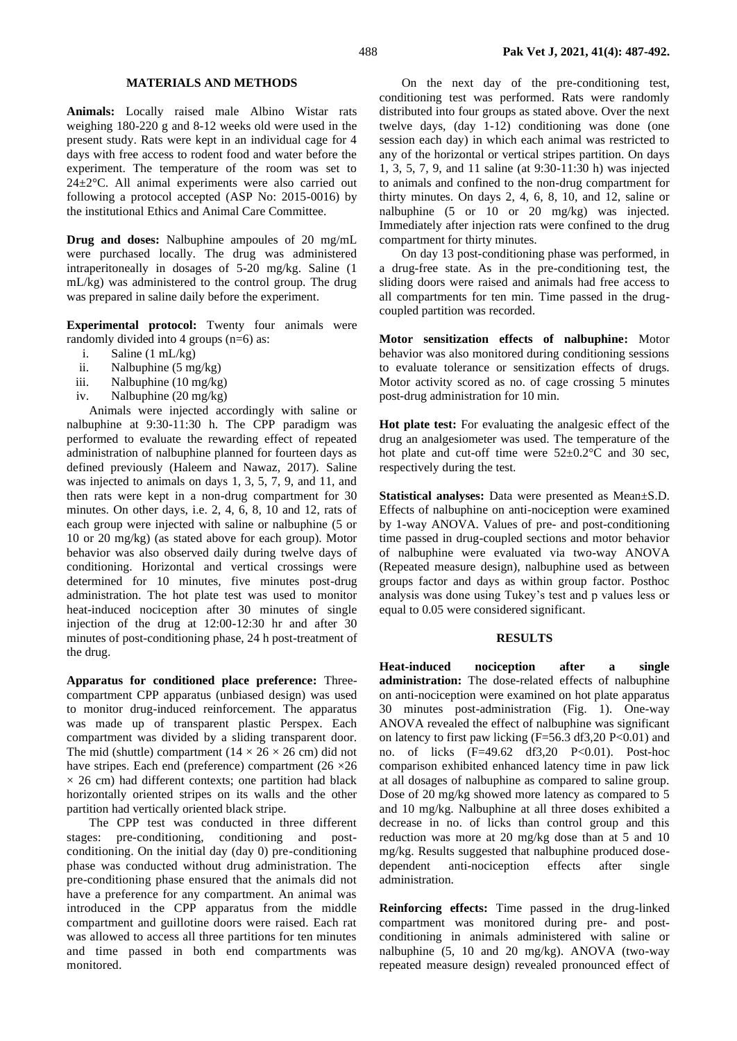### **MATERIALS AND METHODS**

**Animals:** Locally raised male Albino Wistar rats weighing 180-220 g and 8-12 weeks old were used in the present study. Rats were kept in an individual cage for 4 days with free access to rodent food and water before the experiment. The temperature of the room was set to 24±2°C. All animal experiments were also carried out following a protocol accepted (ASP No: 2015-0016) by the institutional Ethics and Animal Care Committee.

**Drug and doses:** Nalbuphine ampoules of 20 mg/mL were purchased locally. The drug was administered intraperitoneally in dosages of 5-20 mg/kg. Saline (1 mL/kg) was administered to the control group. The drug was prepared in saline daily before the experiment.

**Experimental protocol:** Twenty four animals were randomly divided into 4 groups (n=6) as:

- i. Saline (1 mL/kg)
- ii. Nalbuphine (5 mg/kg)
- iii. Nalbuphine (10 mg/kg)
- iv. Nalbuphine (20 mg/kg)

Animals were injected accordingly with saline or nalbuphine at 9:30-11:30 h. The CPP paradigm was performed to evaluate the rewarding effect of repeated administration of nalbuphine planned for fourteen days as defined previously (Haleem and Nawaz, 2017). Saline was injected to animals on days 1, 3, 5, 7, 9, and 11, and then rats were kept in a non-drug compartment for 30 minutes. On other days, i.e. 2, 4, 6, 8, 10 and 12, rats of each group were injected with saline or nalbuphine (5 or 10 or 20 mg/kg) (as stated above for each group). Motor behavior was also observed daily during twelve days of conditioning. Horizontal and vertical crossings were determined for 10 minutes, five minutes post-drug administration. The hot plate test was used to monitor heat-induced nociception after 30 minutes of single injection of the drug at 12:00-12:30 hr and after 30 minutes of post-conditioning phase, 24 h post-treatment of the drug.

**Apparatus for conditioned place preference:** Threecompartment CPP apparatus (unbiased design) was used to monitor drug-induced reinforcement. The apparatus was made up of transparent plastic Perspex. Each compartment was divided by a sliding transparent door. The mid (shuttle) compartment  $(14 \times 26 \times 26$  cm) did not have stripes. Each end (preference) compartment  $(26 \times 26)$  $\times$  26 cm) had different contexts; one partition had black horizontally oriented stripes on its walls and the other partition had vertically oriented black stripe.

The CPP test was conducted in three different stages: pre-conditioning, conditioning and postconditioning. On the initial day (day 0) pre-conditioning phase was conducted without drug administration. The pre-conditioning phase ensured that the animals did not have a preference for any compartment. An animal was introduced in the CPP apparatus from the middle compartment and guillotine doors were raised. Each rat was allowed to access all three partitions for ten minutes and time passed in both end compartments was monitored.

On the next day of the pre-conditioning test, conditioning test was performed. Rats were randomly distributed into four groups as stated above. Over the next twelve days, (day 1-12) conditioning was done (one session each day) in which each animal was restricted to any of the horizontal or vertical stripes partition. On days 1, 3, 5, 7, 9, and 11 saline (at 9:30-11:30 h) was injected to animals and confined to the non-drug compartment for thirty minutes. On days 2, 4, 6, 8, 10, and 12, saline or nalbuphine (5 or 10 or 20 mg/kg) was injected. Immediately after injection rats were confined to the drug compartment for thirty minutes.

On day 13 post-conditioning phase was performed, in a drug-free state. As in the pre-conditioning test, the sliding doors were raised and animals had free access to all compartments for ten min. Time passed in the drugcoupled partition was recorded.

**Motor sensitization effects of nalbuphine:** Motor behavior was also monitored during conditioning sessions to evaluate tolerance or sensitization effects of drugs. Motor activity scored as no. of cage crossing 5 minutes post-drug administration for 10 min.

**Hot plate test:** For evaluating the analgesic effect of the drug an analgesiometer was used. The temperature of the hot plate and cut-off time were  $52\pm0.2^{\circ}$ C and 30 sec, respectively during the test.

**Statistical analyses:** Data were presented as Mean±S.D. Effects of nalbuphine on anti-nociception were examined by 1-way ANOVA. Values of pre- and post-conditioning time passed in drug-coupled sections and motor behavior of nalbuphine were evaluated via two-way ANOVA (Repeated measure design), nalbuphine used as between groups factor and days as within group factor. Posthoc analysis was done using Tukey's test and p values less or equal to 0.05 were considered significant.

#### **RESULTS**

**Heat-induced nociception after a single administration:** The dose-related effects of nalbuphine on anti-nociception were examined on hot plate apparatus 30 minutes post-administration (Fig. 1). One-way ANOVA revealed the effect of nalbuphine was significant on latency to first paw licking  $(F=56.3 \text{ df}3,20 \text{ P}<0.01)$  and no. of licks (F=49.62 df3,20 P<0.01). Post-hoc comparison exhibited enhanced latency time in paw lick at all dosages of nalbuphine as compared to saline group. Dose of 20 mg/kg showed more latency as compared to 5 and 10 mg/kg. Nalbuphine at all three doses exhibited a decrease in no. of licks than control group and this reduction was more at 20 mg/kg dose than at 5 and 10 mg/kg. Results suggested that nalbuphine produced dosedependent anti-nociception effects after single administration.

**Reinforcing effects:** Time passed in the drug-linked compartment was monitored during pre- and postconditioning in animals administered with saline or nalbuphine (5, 10 and 20 mg/kg). ANOVA (two-way repeated measure design) revealed pronounced effect of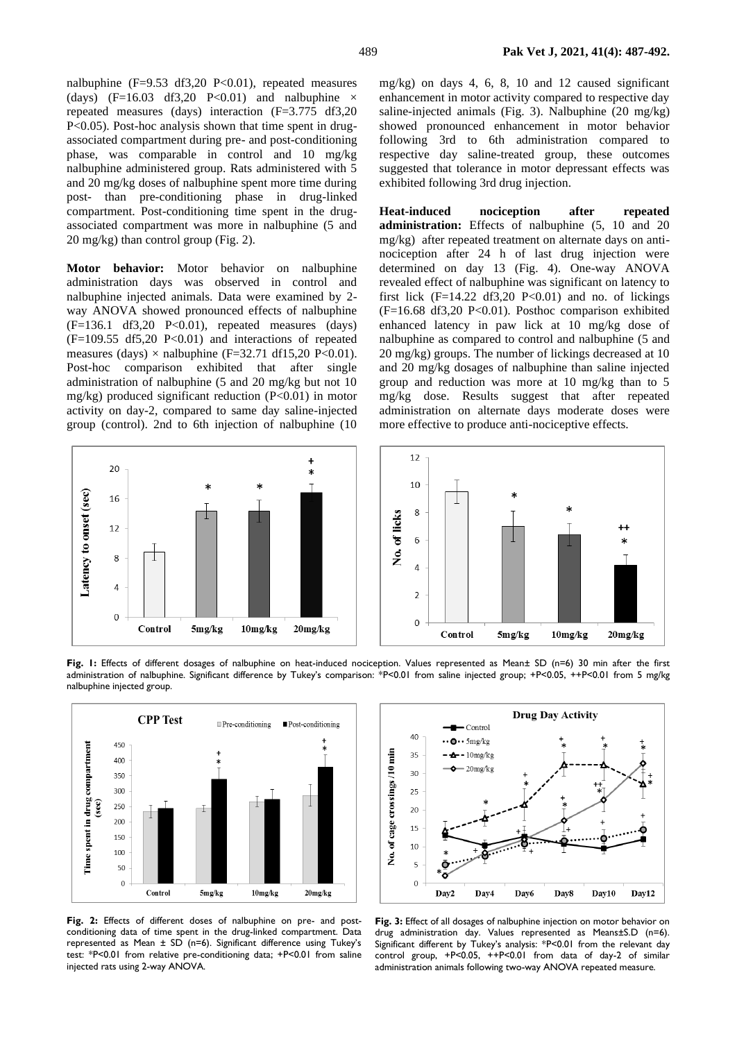nalbuphine  $(F=9.53 \text{ df}3.20 \text{ P}<0.01)$ , repeated measures (days) (F=16.03 df3,20 P<0.01) and nalbuphine  $\times$ repeated measures (days) interaction (F=3.775 df3,20 P<0.05). Post-hoc analysis shown that time spent in drugassociated compartment during pre- and post-conditioning phase, was comparable in control and 10 mg/kg nalbuphine administered group. Rats administered with 5 and 20 mg/kg doses of nalbuphine spent more time during post- than pre-conditioning phase in drug-linked compartment. Post-conditioning time spent in the drugassociated compartment was more in nalbuphine (5 and 20 mg/kg) than control group (Fig. 2).

**Motor behavior:** Motor behavior on nalbuphine administration days was observed in control and nalbuphine injected animals. Data were examined by 2 way ANOVA showed pronounced effects of nalbuphine  $(F=136.1 \text{ df}3,20 \text{ P}<0.01)$ , repeated measures (days)  $(F=109.55 \text{ df}5,20 \text{ P}<0.01)$  and interactions of repeated measures (days)  $\times$  nalbuphine (F=32.71 df15,20 P<0.01). Post-hoc comparison exhibited that after single administration of nalbuphine (5 and 20 mg/kg but not 10 mg/kg) produced significant reduction  $(P<0.01)$  in motor activity on day-2, compared to same day saline-injected group (control). 2nd to 6th injection of nalbuphine (10



mg/kg) on days 4, 6, 8, 10 and 12 caused significant enhancement in motor activity compared to respective day saline-injected animals (Fig. 3). Nalbuphine (20 mg/kg) showed pronounced enhancement in motor behavior following 3rd to 6th administration compared to respective day saline-treated group, these outcomes suggested that tolerance in motor depressant effects was exhibited following 3rd drug injection.

**Heat-induced nociception after repeated administration:** Effects of nalbuphine (5, 10 and 20 mg/kg) after repeated treatment on alternate days on antinociception after 24 h of last drug injection were determined on day 13 (Fig. 4). One-way ANOVA revealed effect of nalbuphine was significant on latency to first lick  $(F=14.22 \text{ d}f3,20 \text{ P}<0.01)$  and no. of lickings  $(F=16.68 \text{ df}3,20 \text{ P}<0.01)$ . Posthoc comparison exhibited enhanced latency in paw lick at 10 mg/kg dose of nalbuphine as compared to control and nalbuphine (5 and 20 mg/kg) groups. The number of lickings decreased at 10 and 20 mg/kg dosages of nalbuphine than saline injected group and reduction was more at 10 mg/kg than to 5 mg/kg dose. Results suggest that after repeated administration on alternate days moderate doses were more effective to produce anti-nociceptive effects.



**Fig. 1:** Effects of different dosages of nalbuphine on heat-induced nociception. Values represented as Mean± SD (n=6) 30 min after the first administration of nalbuphine. Significant difference by Tukey's comparison: \*P<0.01 from saline injected group; +P<0.05, ++P<0.01 from 5 mg/kg nalbuphine injected group.



**Fig. 2:** Effects of different doses of nalbuphine on pre- and postconditioning data of time spent in the drug-linked compartment. Data represented as Mean ± SD (n=6). Significant difference using Tukey's test: \*P<0.01 from relative pre-conditioning data; +P<0.01 from saline injected rats using 2-way ANOVA.



**Fig. 3:** Effect of all dosages of nalbuphine injection on motor behavior on drug administration day. Values represented as Means±S.D (n=6). Significant different by Tukey's analysis: \*P<0.01 from the relevant day control group, +P<0.05, ++P<0.01 from data of day-2 of similar administration animals following two-way ANOVA repeated measure.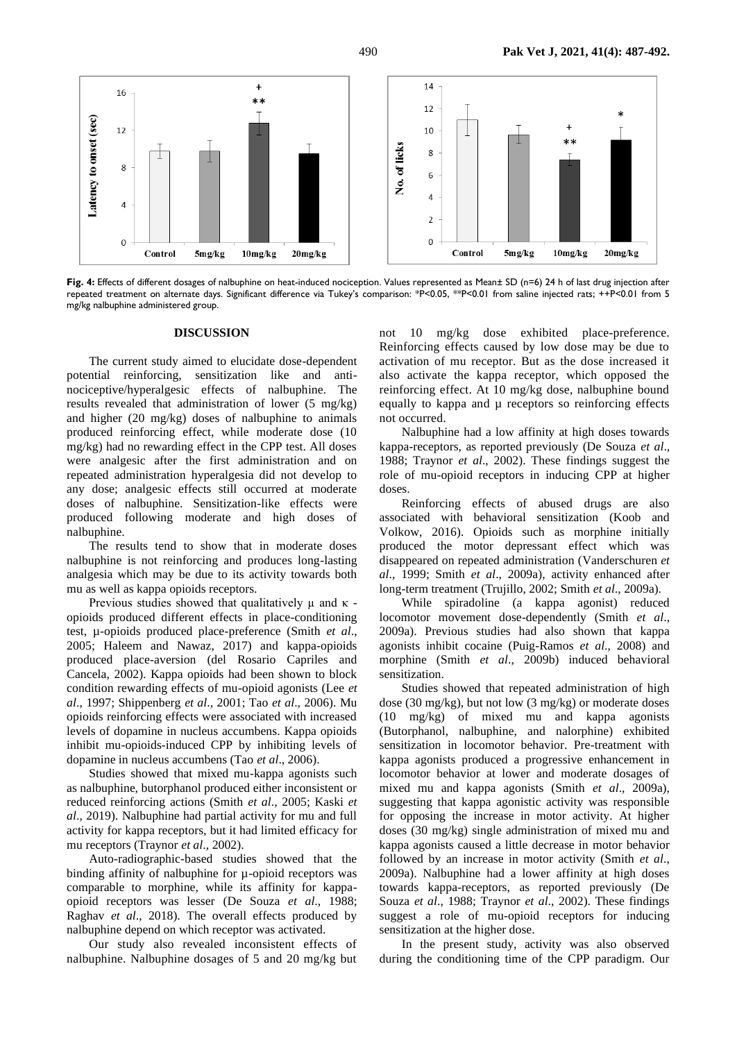

**Fig. 4:** Effects of different dosages of nalbuphine on heat-induced nociception. Values represented as Mean± SD (n=6) 24 h of last drug injection after repeated treatment on alternate days. Significant difference via Tukey's comparison: \*P<0.05, \*\*P<0.01 from saline injected rats; ++P<0.01 from 5 mg/kg nalbuphine administered group.

#### **DISCUSSION**

The current study aimed to elucidate dose-dependent potential reinforcing, sensitization like and antinociceptive/hyperalgesic effects of nalbuphine. The results revealed that administration of lower (5 mg/kg) and higher (20 mg/kg) doses of nalbuphine to animals produced reinforcing effect, while moderate dose (10 mg/kg) had no rewarding effect in the CPP test. All doses were analgesic after the first administration and on repeated administration hyperalgesia did not develop to any dose; analgesic effects still occurred at moderate doses of nalbuphine. Sensitization-like effects were produced following moderate and high doses of nalbuphine.

The results tend to show that in moderate doses nalbuphine is not reinforcing and produces long-lasting analgesia which may be due to its activity towards both mu as well as kappa opioids receptors.

Previous studies showed that qualitatively  $\mu$  and  $\kappa$  opioids produced different effects in place-conditioning test, µ-opioids produced place-preference (Smith *et al*., 2005; Haleem and Nawaz, 2017) and kappa-opioids produced place-aversion (del Rosario Capriles and Cancela, 2002). Kappa opioids had been shown to block condition rewarding effects of mu-opioid agonists (Lee *et al*., 1997; Shippenberg *et al*., 2001; Tao *et al*., 2006). Mu opioids reinforcing effects were associated with increased levels of dopamine in nucleus accumbens. Kappa opioids inhibit mu-opioids-induced CPP by inhibiting levels of dopamine in nucleus accumbens (Tao *et al*., 2006).

Studies showed that mixed mu-kappa agonists such as nalbuphine, butorphanol produced either inconsistent or reduced reinforcing actions (Smith *et al*., 2005; Kaski *et al*., 2019). Nalbuphine had partial activity for mu and full activity for kappa receptors, but it had limited efficacy for mu receptors (Traynor *et al*., 2002).

Auto-radiographic-based studies showed that the binding affinity of nalbuphine for µ-opioid receptors was comparable to morphine, while its affinity for kappaopioid receptors was lesser (De Souza *et al*., 1988; Raghav *et al*., 2018). The overall effects produced by nalbuphine depend on which receptor was activated.

Our study also revealed inconsistent effects of nalbuphine. Nalbuphine dosages of 5 and 20 mg/kg but not 10 mg/kg dose exhibited place-preference. Reinforcing effects caused by low dose may be due to activation of mu receptor. But as the dose increased it also activate the kappa receptor, which opposed the reinforcing effect. At 10 mg/kg dose, nalbuphine bound equally to kappa and  $\mu$  receptors so reinforcing effects not occurred.

Nalbuphine had a low affinity at high doses towards kappa-receptors, as reported previously (De Souza *et al*., 1988; Traynor *et al*., 2002). These findings suggest the role of mu-opioid receptors in inducing CPP at higher doses.

Reinforcing effects of abused drugs are also associated with behavioral sensitization (Koob and Volkow, 2016). Opioids such as morphine initially produced the motor depressant effect which was disappeared on repeated administration (Vanderschuren *et al*., 1999; Smith *et al*., 2009a), activity enhanced after long-term treatment (Trujillo, 2002; Smith *et al*., 2009a).

While spiradoline (a kappa agonist) reduced locomotor movement dose-dependently (Smith *et al*., 2009a). Previous studies had also shown that kappa agonists inhibit cocaine (Puig-Ramos *et al*., 2008) and morphine (Smith *et al*., 2009b) induced behavioral sensitization.

Studies showed that repeated administration of high dose (30 mg/kg), but not low (3 mg/kg) or moderate doses (10 mg/kg) of mixed mu and kappa agonists (Butorphanol, nalbuphine, and nalorphine) exhibited sensitization in locomotor behavior. Pre-treatment with kappa agonists produced a progressive enhancement in locomotor behavior at lower and moderate dosages of mixed mu and kappa agonists (Smith *et al*., 2009a), suggesting that kappa agonistic activity was responsible for opposing the increase in motor activity. At higher doses (30 mg/kg) single administration of mixed mu and kappa agonists caused a little decrease in motor behavior followed by an increase in motor activity (Smith *et al*., 2009a). Nalbuphine had a lower affinity at high doses towards kappa-receptors, as reported previously (De Souza *et al*., 1988; Traynor *et al*., 2002). These findings suggest a role of mu-opioid receptors for inducing sensitization at the higher dose.

In the present study, activity was also observed during the conditioning time of the CPP paradigm. Our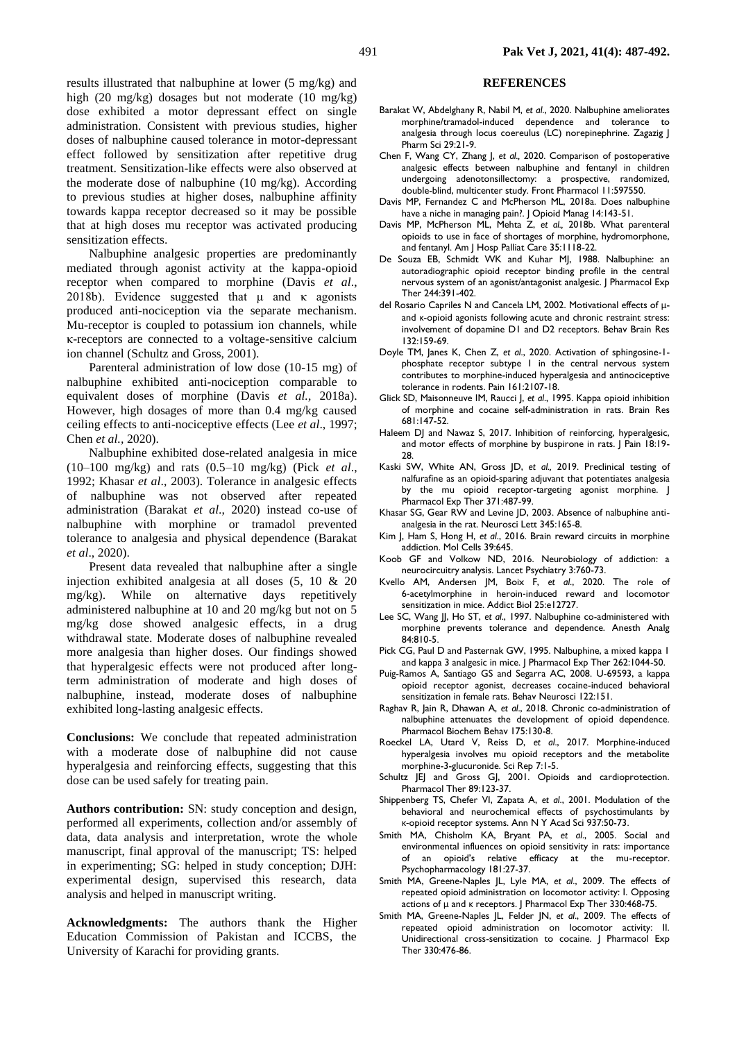results illustrated that nalbuphine at lower (5 mg/kg) and high (20 mg/kg) dosages but not moderate (10 mg/kg) dose exhibited a motor depressant effect on single administration. Consistent with previous studies, higher doses of nalbuphine caused tolerance in motor-depressant effect followed by sensitization after repetitive drug treatment. Sensitization-like effects were also observed at the moderate dose of nalbuphine (10 mg/kg). According to previous studies at higher doses, nalbuphine affinity towards kappa receptor decreased so it may be possible that at high doses mu receptor was activated producing sensitization effects.

Nalbuphine analgesic properties are predominantly mediated through agonist activity at the kappa-opioid receptor when compared to morphine (Davis *et al*., 2018b). Evidence suggested that  $\mu$  and  $\kappa$  agonists produced anti-nociception via the separate mechanism. Mu-receptor is coupled to potassium ion channels, while κ-receptors are connected to a voltage-sensitive calcium ion channel (Schultz and Gross, 2001).

Parenteral administration of low dose (10-15 mg) of nalbuphine exhibited anti-nociception comparable to equivalent doses of morphine (Davis *et al.,* 2018a). However, high dosages of more than 0.4 mg/kg caused ceiling effects to anti-nociceptive effects (Lee *et al*., 1997; Chen *et al.,* 2020).

Nalbuphine exhibited dose-related analgesia in mice (10–100 mg/kg) and rats (0.5–10 mg/kg) (Pick *et al*., 1992; Khasar *et al*., 2003). Tolerance in analgesic effects of nalbuphine was not observed after repeated administration (Barakat *et al*., 2020) instead co-use of nalbuphine with morphine or tramadol prevented tolerance to analgesia and physical dependence (Barakat *et al*., 2020).

Present data revealed that nalbuphine after a single injection exhibited analgesia at all doses (5, 10 & 20 mg/kg). While on alternative days repetitively administered nalbuphine at 10 and 20 mg/kg but not on 5 mg/kg dose showed analgesic effects, in a drug withdrawal state. Moderate doses of nalbuphine revealed more analgesia than higher doses. Our findings showed that hyperalgesic effects were not produced after longterm administration of moderate and high doses of nalbuphine, instead, moderate doses of nalbuphine exhibited long-lasting analgesic effects.

**Conclusions:** We conclude that repeated administration with a moderate dose of nalbuphine did not cause hyperalgesia and reinforcing effects, suggesting that this dose can be used safely for treating pain.

**Authors contribution:** SN: study conception and design, performed all experiments, collection and/or assembly of data, data analysis and interpretation, wrote the whole manuscript, final approval of the manuscript; TS: helped in experimenting; SG: helped in study conception; DJH: experimental design, supervised this research, data analysis and helped in manuscript writing.

**Acknowledgments:** The authors thank the Higher Education Commission of Pakistan and ICCBS, the University of Karachi for providing grants.

### **REFERENCES**

- Barakat W, Abdelghany R, Nabil M, *et al*., 2020. Nalbuphine ameliorates morphine/tramadol-induced dependence and tolerance to analgesia through locus coereulus (LC) norepinephrine. Zagazig J Pharm Sci 29:21-9.
- Chen F, Wang CY, Zhang J, *et al.,* 2020. Comparison of postoperative analgesic effects between nalbuphine and fentanyl in children undergoing adenotonsillectomy: a prospective, randomized, double-blind, multicenter study. Front Pharmacol 11:597550.
- Davis MP, Fernandez C and McPherson ML, 2018a. Does nalbuphine have a niche in managing pain?. J Opioid Manag 14:143-51.
- Davis MP, McPherson ML, Mehta Z, *et al.,* 2018b. What parenteral opioids to use in face of shortages of morphine, hydromorphone, and fentanyl. Am J Hosp Palliat Care 35:1118-22.
- De Souza EB, Schmidt WK and Kuhar MJ, 1988. Nalbuphine: an autoradiographic opioid receptor binding profile in the central nervous system of an agonist/antagonist analgesic. J Pharmacol Exp Ther 244:391-402.
- del Rosario Capriles N and Cancela LM, 2002. Motivational effects of μand κ-opioid agonists following acute and chronic restraint stress: involvement of dopamine D1 and D2 receptors. Behav Brain Res 132:159-69.
- Doyle TM, Janes K, Chen Z, *et al*., 2020. Activation of sphingosine-1 phosphate receptor subtype 1 in the central nervous system contributes to morphine-induced hyperalgesia and antinociceptive tolerance in rodents. Pain 161:2107-18.
- Glick SD, Maisonneuve IM, Raucci J, *et al*., 1995. Kappa opioid inhibition of morphine and cocaine self-administration in rats. Brain Res 681:147-52.
- Haleem DJ and Nawaz S, 2017. Inhibition of reinforcing, hyperalgesic, and motor effects of morphine by buspirone in rats. | Pain 18:19-28.
- Kaski SW, White AN, Gross JD, *et al.,* 2019. Preclinical testing of nalfurafine as an opioid-sparing adjuvant that potentiates analgesia by the mu opioid receptor-targeting agonist morphine. J Pharmacol Exp Ther 371:487-99.
- Khasar SG, Gear RW and Levine JD, 2003. Absence of nalbuphine antianalgesia in the rat. Neurosci Lett 345:165-8.
- Kim J, Ham S, Hong H, *et al*., 2016. Brain reward circuits in morphine addiction. Mol Cells 39:645.
- Koob GF and Volkow ND, 2016. Neurobiology of addiction: a neurocircuitry analysis. Lancet Psychiatry 3:760-73.
- Kvello AM, Andersen JM, Boix F, *et al*., 2020. The role of 6‐acetylmorphine in heroin‐induced reward and locomotor sensitization in mice. Addict Biol 25:e12727.
- Lee SC, Wang JJ, Ho ST, *et al*., 1997. Nalbuphine co-administered with morphine prevents tolerance and dependence. Anesth Analg 84:810-5.
- Pick CG, Paul D and Pasternak GW, 1995. Nalbuphine, a mixed kappa 1 and kappa 3 analgesic in mice. J Pharmacol Exp Ther 262:1044-50.
- Puig-Ramos A, Santiago GS and Segarra AC, 2008. U-69593, a kappa opioid receptor agonist, decreases cocaine-induced behavioral sensitization in female rats. Behav Neurosci 122:151.
- Raghav R, Jain R, Dhawan A, *et al*., 2018. Chronic co-administration of nalbuphine attenuates the development of opioid dependence. Pharmacol Biochem Behav 175:130-8.
- Roeckel LA, Utard V, Reiss D, *et al*., 2017. Morphine-induced hyperalgesia involves mu opioid receptors and the metabolite morphine-3-glucuronide. Sci Rep 7:1-5.
- Schultz JEJ and Gross GJ, 2001. Opioids and cardioprotection. Pharmacol Ther 89:123-37.
- Shippenberg TS, Chefer VI, Zapata A, *et al*., 2001. Modulation of the behavioral and neurochemical effects of psychostimulants by κ‐opioid receptor systems. Ann N Y Acad Sci 937:50-73.
- Smith MA, Chisholm KA, Bryant PA, *et al*., 2005. Social and environmental influences on opioid sensitivity in rats: importance of an opioid's relative efficacy at the mu-receptor. Psychopharmacology 181:27-37.
- Smith MA, Greene-Naples JL, Lyle MA, *et al*., 2009. The effects of repeated opioid administration on locomotor activity: I. Opposing actions of μ and κ receptors. J Pharmacol Exp Ther 330:468-75.
- Smith MA, Greene-Naples JL, Felder JN, *et al*., 2009. The effects of repeated opioid administration on locomotor activity: II. Unidirectional cross-sensitization to cocaine. J Pharmacol Exp Ther 330:476-86.